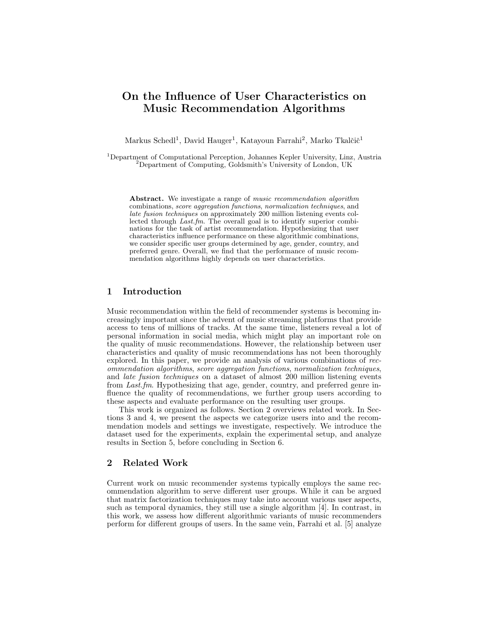# On the Influence of User Characteristics on Music Recommendation Algorithms

Markus Schedl<sup>1</sup>, David Hauger<sup>1</sup>, Katayoun Farrahi<sup>2</sup>, Marko Tkalčič<sup>1</sup>

<sup>1</sup>Department of Computational Perception, Johannes Kepler University, Linz, Austria <sup>2</sup>Department of Computing, Goldsmith's University of London, UK

Abstract. We investigate a range of *music recommendation algorithm* combinations, score aggregation functions, normalization techniques, and late fusion techniques on approximately 200 million listening events collected through Last.fm. The overall goal is to identify superior combinations for the task of artist recommendation. Hypothesizing that user characteristics influence performance on these algorithmic combinations, we consider specific user groups determined by age, gender, country, and preferred genre. Overall, we find that the performance of music recommendation algorithms highly depends on user characteristics.

# 1 Introduction

Music recommendation within the field of recommender systems is becoming increasingly important since the advent of music streaming platforms that provide access to tens of millions of tracks. At the same time, listeners reveal a lot of personal information in social media, which might play an important role on the quality of music recommendations. However, the relationship between user characteristics and quality of music recommendations has not been thoroughly explored. In this paper, we provide an analysis of various combinations of recommendation algorithms, score aggregation functions, normalization techniques, and late fusion techniques on a dataset of almost 200 million listening events from Last.fm. Hypothesizing that age, gender, country, and preferred genre influence the quality of recommendations, we further group users according to these aspects and evaluate performance on the resulting user groups.

This work is organized as follows. Section 2 overviews related work. In Sections 3 and 4, we present the aspects we categorize users into and the recommendation models and settings we investigate, respectively. We introduce the dataset used for the experiments, explain the experimental setup, and analyze results in Section 5, before concluding in Section 6.

# 2 Related Work

Current work on music recommender systems typically employs the same recommendation algorithm to serve different user groups. While it can be argued that matrix factorization techniques may take into account various user aspects, such as temporal dynamics, they still use a single algorithm [4]. In contrast, in this work, we assess how different algorithmic variants of music recommenders perform for different groups of users. In the same vein, Farrahi et al. [5] analyze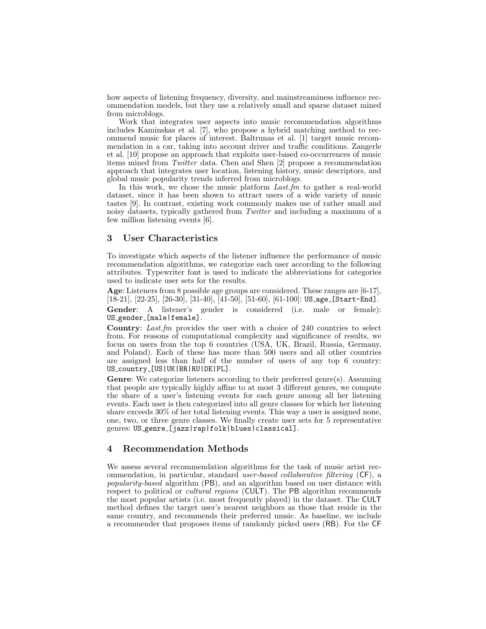how aspects of listening frequency, diversity, and mainstreaminess influence recommendation models, but they use a relatively small and sparse dataset mined from microblogs.

Work that integrates user aspects into music recommendation algorithms includes Kaminskas et al. [7], who propose a hybrid matching method to recommend music for places of interest. Baltrunas et al. [1] target music recommendation in a car, taking into account driver and traffic conditions. Zangerle et al. [10] propose an approach that exploits user-based co-occurrences of music items mined from Twitter data. Chen and Shen [2] propose a recommendation approach that integrates user location, listening history, music descriptors, and global music popularity trends inferred from microblogs.

In this work, we chose the music platform *Last.fm* to gather a real-world dataset, since it has been shown to attract users of a wide variety of music tastes [9]. In contrast, existing work commonly makes use of rather small and noisy datasets, typically gathered from Twitter and including a maximum of a few million listening events [6].

#### 3 User Characteristics

To investigate which aspects of the listener influence the performance of music recommendation algorithms, we categorize each user according to the following attributes. Typewriter font is used to indicate the abbreviations for categories used to indicate user sets for the results.

Age: Listeners from 8 possible age groups are considered. These ranges are [6-17],  $[18-21], [22-25], [26-30], [31-40], [41-50], [51-60], [61-100]$ : US age [Start-End].

Gender: A listener's gender is considered (i.e. male or female): US\_gender\_[male|female].

Country: Last.fm provides the user with a choice of 240 countries to select from. For reasons of computational complexity and significance of results, we focus on users from the top 6 countries (USA, UK, Brazil, Russia, Germany, and Poland). Each of these has more than 500 users and all other countries are assigned less than half of the number of users of any top 6 country: US country [US|UK|BR|RU|DE|PL].

Genre: We categorize listeners according to their preferred genre(s). Assuming that people are typically highly affine to at most 3 different genres, we compute the share of a user's listening events for each genre among all her listening events. Each user is then categorized into all genre classes for which her listening share exceeds 30% of her total listening events. This way a user is assigned none, one, two, or three genre classes. We finally create user sets for 5 representative genres: US genre [jazz|rap|folk|blues|classical].

# 4 Recommendation Methods

We assess several recommendation algorithms for the task of music artist recommendation, in particular, standard user-based collaborative filtering (CF), a popularity-based algorithm (PB), and an algorithm based on user distance with respect to political or *cultural regions* (CULT). The PB algorithm recommends the most popular artists (i.e. most frequently played) in the dataset. The CULT method defines the target user's nearest neighbors as those that reside in the same country, and recommends their preferred music. As baseline, we include a recommender that proposes items of randomly picked users (RB). For the CF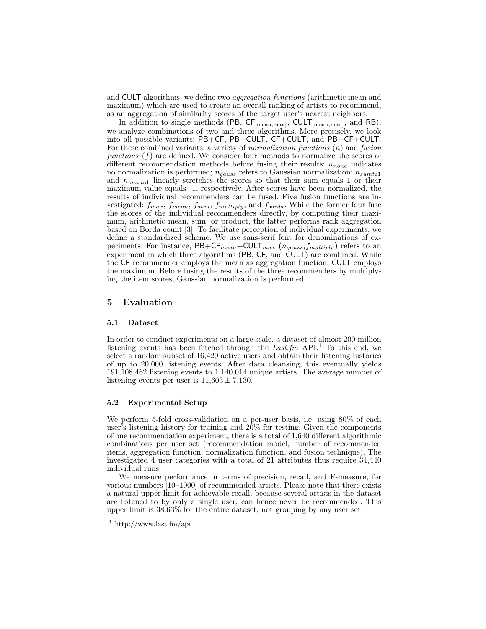and CULT algorithms, we define two aggregation functions (arithmetic mean and maximum) which are used to create an overall ranking of artists to recommend, as an aggregation of similarity scores of the target user's nearest neighbors.

In addition to single methods (PB,  $CF_{[mean, max]}$ ,  $CULT_{[mean, max]}$ , and RB), we analyze combinations of two and three algorithms. More precisely, we look into all possible variants: PB+CF, PB+CULT, CF+CULT, and PB+CF+CULT. For these combined variants, a variety of *normalization functions*  $(n)$  and *fusion* functions  $(f)$  are defined. We consider four methods to normalize the scores of different recommendation methods before fusing their results:  $n_{none}$  indicates no normalization is performed;  $n_{gauss}$  refers to Gaussian normalization;  $n_{sumtol}$ and  $n_{maxtol}$  linearly stretches the scores so that their sum equals 1 or their maximum value equals 1, respectively. After scores have been normalized, the results of individual recommenders can be fused. Five fusion functions are investigated:  $f_{max}$ ,  $f_{mean}$ ,  $f_{sum}$ ,  $f_{multiply}$ , and  $f_{borda}$ . While the former four fuse the scores of the individual recommenders directly, by computing their maximum, arithmetic mean, sum, or product, the latter performs rank aggregation based on Borda count [3]. To facilitate perception of individual experiments, we define a standardized scheme. We use sans-serif font for denominations of experiments. For instance,  $PB+CF_{mean}+CULT_{max}$   $(n_{gauss}, f_{multiply})$  refers to an experiment in which three algorithms (PB, CF, and CULT) are combined. While the CF recommender employs the mean as aggregation function, CULT employs the maximum. Before fusing the results of the three recommenders by multiplying the item scores, Gaussian normalization is performed.

# 5 Evaluation

#### 5.1 Dataset

In order to conduct experiments on a large scale, a dataset of almost 200 million listening events has been fetched through the Last.fm API.<sup>1</sup> To this end, we select a random subset of 16,429 active users and obtain their listening histories of up to 20,000 listening events. After data cleansing, this eventually yields 191,108,462 listening events to 1,140,014 unique artists. The average number of listening events per user is  $11,603 \pm 7,130$ .

#### 5.2 Experimental Setup

We perform 5-fold cross-validation on a per-user basis, i.e. using 80% of each user's listening history for training and 20% for testing. Given the components of one recommendation experiment, there is a total of 1,640 different algorithmic combinations per user set (recommendation model, number of recommended items, aggregation function, normalization function, and fusion technique). The investigated 4 user categories with a total of 21 attributes thus require 34,440 individual runs.

We measure performance in terms of precision, recall, and F-measure, for various numbers [10–1000] of recommended artists. Please note that there exists a natural upper limit for achievable recall, because several artists in the dataset are listened to by only a single user, can hence never be recommended. This upper limit is 38.63% for the entire dataset, not grouping by any user set.

 $\frac{1}{1}$ http://www.last.fm/api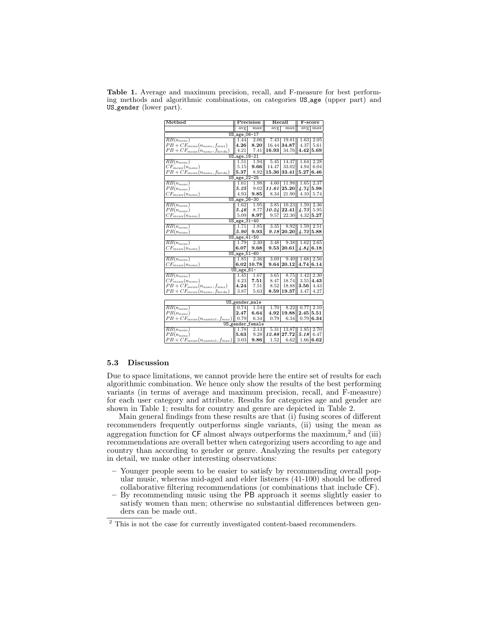| Method                                |              | Precision               | Recall |             | $F-score$ |         |  |  |  |  |  |  |
|---------------------------------------|--------------|-------------------------|--------|-------------|-----------|---------|--|--|--|--|--|--|
|                                       | avg          | $\overline{\text{max}}$ | avg    | max         |           | avg max |  |  |  |  |  |  |
| US_age_06-17                          |              |                         |        |             |           |         |  |  |  |  |  |  |
| $RB(n_{none})$                        | 1.44         | 2.06                    | 7.43   | 19.81       | 1.63      | 2.05    |  |  |  |  |  |  |
| $PB + CF_{mean}(n_{none}, f_{max})$   | 4.26         | 8.20                    | 16.44  | 34.87       | 4.37      | 5.61    |  |  |  |  |  |  |
| $PB + CF_{mean}(n_{none}, f_{borda})$ | 4.21         | 7.41                    | 16.93  | 34.76       | 4.42      | 5.69    |  |  |  |  |  |  |
| US_age_18-21                          |              |                         |        |             |           |         |  |  |  |  |  |  |
| $\overline{RB(n_{none})}$             | 1.51         | 1.94                    | 5.45   | 14.37       | 1.64      | 2.28    |  |  |  |  |  |  |
| $CF_{mean}(n_{none})$                 | 5.15         | 9.66                    | 14.47  | 33.02       | 4.94      | 6.04    |  |  |  |  |  |  |
| $PB + CF_{mean}(n_{none}, f_{borda})$ | 5.37         | 8.92                    | 15.36  | 33.41       | 5.27      | 6.46    |  |  |  |  |  |  |
| US_age_22-25                          |              |                         |        |             |           |         |  |  |  |  |  |  |
| $\overline{RB(n_{none})}$             | 1.61         | 1.98                    | 4.60   | 11.98       | 1.65      | 2.37    |  |  |  |  |  |  |
| $PB(n_{none})$                        | 5.25         | 9.02                    | 11.61  | 25.20       | 4.74      | 5.98    |  |  |  |  |  |  |
| $CF_{mean}(n_{none})$                 | 4.93         | 9.85                    | 8.34   | 21.90       | 4.10      | 5.74    |  |  |  |  |  |  |
| US_age_26-30                          |              |                         |        |             |           |         |  |  |  |  |  |  |
| $\overline{RB(n_{none})}$             | 1.62         | 1.95                    | 3.85   | 10.23       | 1.59      | 2.36    |  |  |  |  |  |  |
| $PB(n_{none})$                        | 5.46         | 8.77                    | 10.24  | 22.41       | 4.73      | 5.95    |  |  |  |  |  |  |
| $CF_{mean}(n_{none})$                 | 5.09         | 8.97                    | 9.57   | 22.30       | 4.32      | 5.27    |  |  |  |  |  |  |
| US_age_31-40                          |              |                         |        |             |           |         |  |  |  |  |  |  |
| $\overline{RB(n_{none})}$             | 1.71         | 1.85                    | 3.35   | 8.92        | 1.59      | 2.51    |  |  |  |  |  |  |
| $PB(n_{none})$                        | 5.90         | 9.93                    |        | 9.18 20.20  | 4.72      | 5.88    |  |  |  |  |  |  |
| US_age_41-50                          |              |                         |        |             |           |         |  |  |  |  |  |  |
| $RB(n_{none})$                        | 1.79         | 2.30                    | 3.48   | 9.38        | 1.62      | 2.65    |  |  |  |  |  |  |
| $CF_{mean}(n_{none})$                 | 6.07         | 9.68                    | 9.53   | 20.61       | 4.84      | 6.18    |  |  |  |  |  |  |
|                                       | US_age_51-60 |                         |        |             |           |         |  |  |  |  |  |  |
| $\overline{RB(n_{none})}$             | 1.85         | 2.36                    | 3.69   | 9.40        | 1.68      | 2.56    |  |  |  |  |  |  |
| $CF_{mean}(n_{none})$                 |              | 6.02 10.78              |        | 9.64 20.12  | 4.74 6.14 |         |  |  |  |  |  |  |
|                                       | $US_age_61-$ |                         |        |             |           |         |  |  |  |  |  |  |
| $\overline{RB(n_{none})}$             | 1.45         | 1.67                    | 3.65   | 8.75        | 1.42      | 2.30    |  |  |  |  |  |  |
| $CF_{mean}(n_{none})$                 | 4.23         | 7.51                    | 8.47   | 18.74       | 3.55      | 4.43    |  |  |  |  |  |  |
| $PB + CF_{mean}(n_{none}, f_{max})$   | 4.24         | 7.51                    | 8.52   | 18.88       | 3.56      | 4.43    |  |  |  |  |  |  |
| $PB + CF_{mean}(n_{none}, f_{borda})$ | 3.87         | 5.63                    | 8.59   | 19.37       | 3.47      | 4.27    |  |  |  |  |  |  |
|                                       |              |                         |        |             |           |         |  |  |  |  |  |  |
|                                       |              | US_gender_male          |        |             |           |         |  |  |  |  |  |  |
| $RB(n_{none})$                        | 0.74         | 1.54                    | 1.70   | 8.22        | 0.77      | 2.10    |  |  |  |  |  |  |
| $PB(n_{none})$                        | 2.47         | 6.64                    | 4.92   | 19.88       | 2.45      | 5.51    |  |  |  |  |  |  |
| $PB + CF_{mean}(n_{sumtol}, f_{max})$ | 0.79         | 6.34                    | 0.79   | 6.34        | 0.79      | 6.34    |  |  |  |  |  |  |
| US_gender_female                      |              |                         |        |             |           |         |  |  |  |  |  |  |
| $\overline{RB(n_{none})}$             | 1.78         | 2.13                    | 5.31   | 13.87       | 1.85      | 2.70    |  |  |  |  |  |  |
| $PB(n_{none})$                        | 5.63         | 9.28                    |        | 12.88 27.72 | 5.18      | 6.47    |  |  |  |  |  |  |
| $PB + CF_{mean}(n_{sumtol}, f_{max})$ | 3.03         | 9.86                    | 1.52   | 6.62        | 1.66      | 6.62    |  |  |  |  |  |  |

Table 1. Average and maximum precision, recall, and F-measure for best performing methods and algorithmic combinations, on categories US age (upper part) and US gender (lower part).

#### 5.3 Discussion

Due to space limitations, we cannot provide here the entire set of results for each algorithmic combination. We hence only show the results of the best performing variants (in terms of average and maximum precision, recall, and F-measure) for each user category and attribute. Results for categories age and gender are shown in Table 1; results for country and genre are depicted in Table 2.

Main general findings from these results are that (i) fusing scores of different recommenders frequently outperforms single variants, (ii) using the mean as aggregation function for  $CF$  almost always outperforms the maximum,<sup>2</sup> and (iii) recommendations are overall better when categorizing users according to age and country than according to gender or genre. Analyzing the results per category in detail, we make other interesting observations:

- Younger people seem to be easier to satisfy by recommending overall popular music, whereas mid-aged and elder listeners (41-100) should be offered collaborative filtering recommendations (or combinations that include CF).
- By recommending music using the PB approach it seems slightly easier to satisfy women than men; otherwise no substantial differences between genders can be made out.

 $^{\rm 2}$  This is not the case for currently investigated content-based recommenders.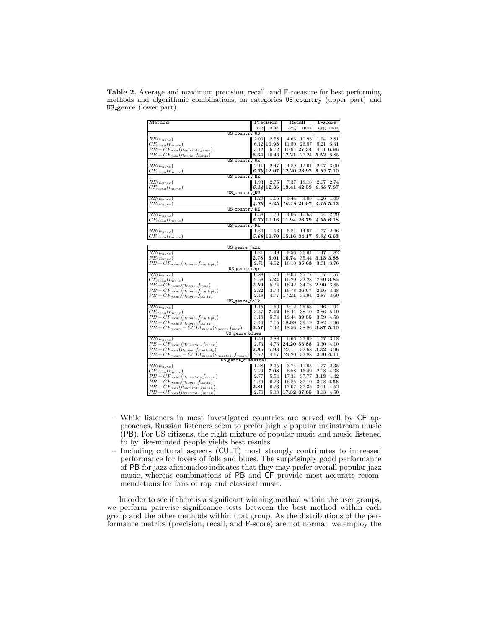| Method                                              |          | Precision  |       | Recall        |               | F-score        |  |  |  |  |  |
|-----------------------------------------------------|----------|------------|-------|---------------|---------------|----------------|--|--|--|--|--|
|                                                     |          | avg<br>max |       | max<br>avg    |               | $\rm{avg}$ max |  |  |  |  |  |
| US_country_US                                       |          |            |       |               |               |                |  |  |  |  |  |
| $RB(n_{none})$                                      | 2.00     | 2.58       | 4.63  | 11.93         | 1.94          | 2.81           |  |  |  |  |  |
| $CF_{mean}(n_{none})$                               | 6.12     | 10.93      | 11.50 | 26.57         | 5.21          | 6.31           |  |  |  |  |  |
| $PB + CF_{max}(n_{sumto1}, f_{sum})$                | 3.12     | 6.72       |       | 10.94 27.34   | 4.11          | 6.96           |  |  |  |  |  |
| $PB + CF_{max}(n_{none}, f_{borda})$                | 6.34     | 10.46      | 12.21 | 27.24         | $_{\rm 5.52}$ | 6.85           |  |  |  |  |  |
| US_country_UK                                       |          |            |       |               |               |                |  |  |  |  |  |
| $RB(n_{none})$                                      | 2.11     | 2.47       | 4.89  | 12.61         | 2.07          | 3.00           |  |  |  |  |  |
| $CF_{mean}(n_{none})$                               | 6.79     | 12.07      |       | 12.20 26.92   | 5.67          | 7.10           |  |  |  |  |  |
| US_country_BR                                       |          |            |       |               |               |                |  |  |  |  |  |
| $\overline{RB(n_{none})}$                           | 1.93     | 2.75       | 7.37  | 18.18         | 2.07          | 2.74           |  |  |  |  |  |
| $CF_{mean}(n_{none})$                               | 6.44     | 12.35      | 19.41 | 42.59         |               | 6.30 7.87      |  |  |  |  |  |
| US_country_RU                                       |          |            |       |               |               |                |  |  |  |  |  |
| $\overline{RB}(n_{none})$                           | 1.28     | $1.65\,$   | 3.44  | 9.08          | 1.26          | 1.83           |  |  |  |  |  |
| $PB(n_{none})$                                      | 4.79     | 8.25       | 10.18 | 21.97         |               | 4.16 5.13      |  |  |  |  |  |
| US_country_DE                                       |          |            |       |               |               |                |  |  |  |  |  |
| $RB(n_{none})$                                      | 1.58     | 1.79       | 4.06  | 10.63         | 1.54          | 2.29           |  |  |  |  |  |
| $CF_{mean}(n_{none})$                               | 5.73     | 10.16      |       | 11.94 26.79   | 4.96 6.18     |                |  |  |  |  |  |
| US_country_PL                                       |          |            |       |               |               |                |  |  |  |  |  |
| $\overline{RB(n_{none})}$                           | 1.64     | 1.96       | 5.81  | 14.97         | 1.77          | 2.46           |  |  |  |  |  |
| $CF_{mean}(n_{none})$                               | 5.68     | 10.70      |       | 15.16 34.17   | 5.34          | 6.63           |  |  |  |  |  |
|                                                     |          |            |       |               |               |                |  |  |  |  |  |
| US_genre_jazz                                       |          |            |       |               |               |                |  |  |  |  |  |
| $\overline{RB}(n_{none})$                           | 1.21     | 1.49       | 9.56  | 26.64         | 1.47          | 1.82           |  |  |  |  |  |
| $PB(n_{none})$                                      | 2.78     | 5.01       | 16.74 | 35.44         | 3.13          | 3.88           |  |  |  |  |  |
| $PB + CF_{mean}(n_{none}, f_{multiply})$            | 2.71     | 4.92       |       | $16.10$ 35.63 | 3.01          | 3.76           |  |  |  |  |  |
| US_genre_rap                                        |          |            |       |               |               |                |  |  |  |  |  |
| $RB(n_{none})$                                      | 0.88     | $1.00\,$   | 9.03  | 25.77         | 1.17          | 1.57           |  |  |  |  |  |
| $CF_{mean}(n_{none})$                               | 2.58     | 5.24       | 16.20 | 33.28         | 2.90          | 3.85           |  |  |  |  |  |
| $PB + CF_{mean}(n_{none}, f_{max})$                 | $2.59\,$ | 5.24       | 16.42 | 34.73         | 2.90          | 3.85           |  |  |  |  |  |
| $PB + CF_{mean}(n_{none}, f_{multiply})$            | 2.22     | 3.73       | 16.78 | 36.67         | 2.66          | 3.48           |  |  |  |  |  |
| $PB + CF_{mean}(n_{none}, f_{borda})$               | 2.48     | 4.77       | 17.21 | 35.94         | 2.87          | 3.60           |  |  |  |  |  |
| US_genre_folk                                       |          |            |       |               |               |                |  |  |  |  |  |
| $\overline{RB(n_{none})}$                           | 1.15     | 1.50       | 9.12  | 25.53         | 1.46          | 1.94           |  |  |  |  |  |
| $CF_{mean}(n_{none})$                               | 3.57     | 7.42       | 18.41 | 38.10         | 3.86          | 5.10           |  |  |  |  |  |
| $PB + CF_{mean}(n_{none}, f_{multiply})$            | 3.18     | 5.74       |       | 18.44 39.55   | 3.59          | 4.58           |  |  |  |  |  |
| $PB + CF_{mean}(n_{none}, f_{borda})$               | 3.46     | 7.05       | 18.99 | 39.19         | 3.82          | 4.96           |  |  |  |  |  |
| $PB + CF_{mean} + CULT_{mean}(n_{none}, f_{max})$   | 3.57     | 7.42       | 18.56 | 38.86         | 3.87          | 5.10           |  |  |  |  |  |
| US_genre_blues                                      |          |            |       |               |               |                |  |  |  |  |  |
| $\overline{RB(n_{none})}$                           | 1.59     | 2.88       | 6.66  | 23.99         | 1.77          | 3.18           |  |  |  |  |  |
| $PB + CF_{mean}(n_{maxtol}, f_{mean})$              | 2.73     | 4.73       | 24.20 | 53.88         | 3.30          | 4.10           |  |  |  |  |  |
| $PB + CF_{max}(n_{none}, f_{multiply})$             | 2.85     | 5.93       | 23.11 | 52.68         | 3.32          | 3.96           |  |  |  |  |  |
| $PB + CF_{mean} + CULT_{mean}(n_{match}, f_{mean})$ | 2.72     | 4.67       | 24.20 | 53.88         | 3.30          | 4.11           |  |  |  |  |  |
| US_genre_classical                                  |          |            |       |               |               |                |  |  |  |  |  |
| $\overline{RB(n_{none})}$                           | 1.28     | 2.35       | 3.74  | 11.65         | 1.27          | 2.35           |  |  |  |  |  |
| $CF_{mean}(n_{none})$                               | 2.29     | 7.08       | 6.58  | 16.49         | 2.18          | 4.38           |  |  |  |  |  |
| $PB + CF_{mean}(n_{maxtol}, f_{mean})$              | 2.77     | 5.54       | 17.31 | 37.77         | $_{3.13}$     | 4.42           |  |  |  |  |  |
|                                                     | 2.79     | 6.23       | 16.85 | 37.10         | 3.08          | 4.56           |  |  |  |  |  |
| $PB + CF_{mean}(n_{none}, f_{borda})$               | 2.81     | 6.23       | 17.07 | 37.35         | 3.11          | 4.52           |  |  |  |  |  |
| $PB + CF_{max}(n_{sumto1}, f_{mean})$               |          |            |       |               |               |                |  |  |  |  |  |
| $PB + CF_{max}(n_{maxtol}, f_{mean})$               | 2.76     | 5.38       | 17.32 | 37.85         | 3.13          | 4.50           |  |  |  |  |  |

Table 2. Average and maximum precision, recall, and F-measure for best performing methods and algorithmic combinations, on categories US country (upper part) and US genre (lower part).

- While listeners in most investigated countries are served well by CF approaches, Russian listeners seem to prefer highly popular mainstream music (PB). For US citizens, the right mixture of popular music and music listened to by like-minded people yields best results.
- Including cultural aspects (CULT) most strongly contributes to increased performance for lovers of folk and blues. The surprisingly good performance of PB for jazz aficionados indicates that they may prefer overall popular jazz music, whereas combinations of PB and CF provide most accurate recommendations for fans of rap and classical music.

In order to see if there is a significant winning method within the user groups, we perform pairwise significance tests between the best method within each group and the other methods within that group. As the distributions of the performance metrics (precision, recall, and F-score) are not normal, we employ the